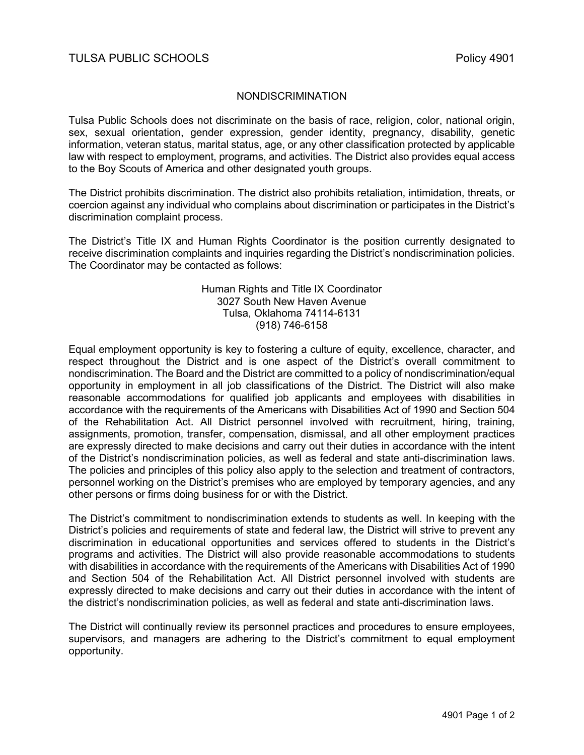## NONDISCRIMINATION

Tulsa Public Schools does not discriminate on the basis of race, religion, color, national origin, sex, sexual orientation, gender expression, gender identity, pregnancy, disability, genetic information, veteran status, marital status, age, or any other classification protected by applicable law with respect to employment, programs, and activities. The District also provides equal access to the Boy Scouts of America and other designated youth groups.

The District prohibits discrimination. The district also prohibits retaliation, intimidation, threats, or coercion against any individual who complains about discrimination or participates in the District's discrimination complaint process.

The District's Title IX and Human Rights Coordinator is the position currently designated to receive discrimination complaints and inquiries regarding the District's nondiscrimination policies. The Coordinator may be contacted as follows:

## Human Rights and Title IX Coordinator 3027 South New Haven Avenue Tulsa, Oklahoma 74114-6131 (918) 746-6158

Equal employment opportunity is key to fostering a culture of equity, excellence, character, and respect throughout the District and is one aspect of the District's overall commitment to nondiscrimination. The Board and the District are committed to a policy of nondiscrimination/equal opportunity in employment in all job classifications of the District. The District will also make reasonable accommodations for qualified job applicants and employees with disabilities in accordance with the requirements of the Americans with Disabilities Act of 1990 and Section 504 of the Rehabilitation Act. All District personnel involved with recruitment, hiring, training, assignments, promotion, transfer, compensation, dismissal, and all other employment practices are expressly directed to make decisions and carry out their duties in accordance with the intent of the District's nondiscrimination policies, as well as federal and state anti-discrimination laws. The policies and principles of this policy also apply to the selection and treatment of contractors, personnel working on the District's premises who are employed by temporary agencies, and any other persons or firms doing business for or with the District.

The District's commitment to nondiscrimination extends to students as well. In keeping with the District's policies and requirements of state and federal law, the District will strive to prevent any discrimination in educational opportunities and services offered to students in the District's programs and activities. The District will also provide reasonable accommodations to students with disabilities in accordance with the requirements of the Americans with Disabilities Act of 1990 and Section 504 of the Rehabilitation Act. All District personnel involved with students are expressly directed to make decisions and carry out their duties in accordance with the intent of the district's nondiscrimination policies, as well as federal and state anti-discrimination laws.

The District will continually review its personnel practices and procedures to ensure employees, supervisors, and managers are adhering to the District's commitment to equal employment opportunity.